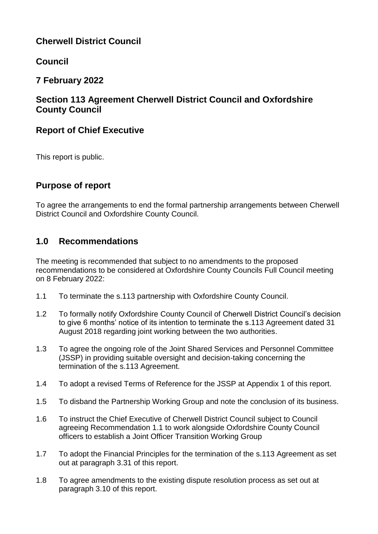# **Cherwell District Council**

# **Council**

# **7 February 2022**

# **Section 113 Agreement Cherwell District Council and Oxfordshire County Council**

# **Report of Chief Executive**

This report is public.

# **Purpose of report**

To agree the arrangements to end the formal partnership arrangements between Cherwell District Council and Oxfordshire County Council.

# **1.0 Recommendations**

The meeting is recommended that subject to no amendments to the proposed recommendations to be considered at Oxfordshire County Councils Full Council meeting on 8 February 2022:

- 1.1 To terminate the s.113 partnership with Oxfordshire County Council.
- 1.2 To formally notify Oxfordshire County Council of Cherwell District Council's decision to give 6 months' notice of its intention to terminate the s.113 Agreement dated 31 August 2018 regarding joint working between the two authorities.
- 1.3 To agree the ongoing role of the Joint Shared Services and Personnel Committee (JSSP) in providing suitable oversight and decision-taking concerning the termination of the s.113 Agreement.
- 1.4 To adopt a revised Terms of Reference for the JSSP at Appendix 1 of this report.
- 1.5 To disband the Partnership Working Group and note the conclusion of its business.
- 1.6 To instruct the Chief Executive of Cherwell District Council subject to Council agreeing Recommendation 1.1 to work alongside Oxfordshire County Council officers to establish a Joint Officer Transition Working Group
- 1.7 To adopt the Financial Principles for the termination of the s.113 Agreement as set out at paragraph 3.31 of this report.
- 1.8 To agree amendments to the existing dispute resolution process as set out at paragraph 3.10 of this report.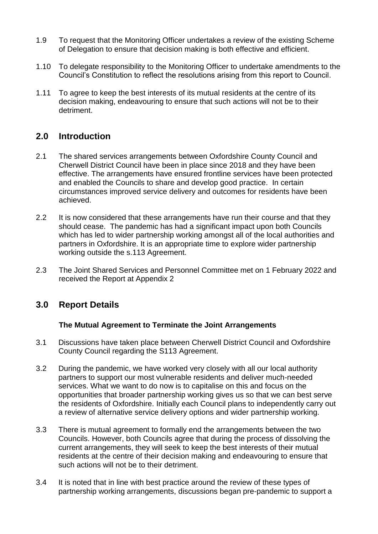- 1.9 To request that the Monitoring Officer undertakes a review of the existing Scheme of Delegation to ensure that decision making is both effective and efficient.
- 1.10 To delegate responsibility to the Monitoring Officer to undertake amendments to the Council's Constitution to reflect the resolutions arising from this report to Council.
- 1.11 To agree to keep the best interests of its mutual residents at the centre of its decision making, endeavouring to ensure that such actions will not be to their detriment.

# **2.0 Introduction**

- 2.1 The shared services arrangements between Oxfordshire County Council and Cherwell District Council have been in place since 2018 and they have been effective. The arrangements have ensured frontline services have been protected and enabled the Councils to share and develop good practice. In certain circumstances improved service delivery and outcomes for residents have been achieved.
- 2.2 It is now considered that these arrangements have run their course and that they should cease. The pandemic has had a significant impact upon both Councils which has led to wider partnership working amongst all of the local authorities and partners in Oxfordshire. It is an appropriate time to explore wider partnership working outside the s.113 Agreement.
- 2.3 The Joint Shared Services and Personnel Committee met on 1 February 2022 and received the Report at Appendix 2

# **3.0 Report Details**

### **The Mutual Agreement to Terminate the Joint Arrangements**

- 3.1 Discussions have taken place between Cherwell District Council and Oxfordshire County Council regarding the S113 Agreement.
- 3.2 During the pandemic, we have worked very closely with all our local authority partners to support our most vulnerable residents and deliver much-needed services. What we want to do now is to capitalise on this and focus on the opportunities that broader partnership working gives us so that we can best serve the residents of Oxfordshire. Initially each Council plans to independently carry out a review of alternative service delivery options and wider partnership working.
- 3.3 There is mutual agreement to formally end the arrangements between the two Councils. However, both Councils agree that during the process of dissolving the current arrangements, they will seek to keep the best interests of their mutual residents at the centre of their decision making and endeavouring to ensure that such actions will not be to their detriment.
- 3.4 It is noted that in line with best practice around the review of these types of partnership working arrangements, discussions began pre-pandemic to support a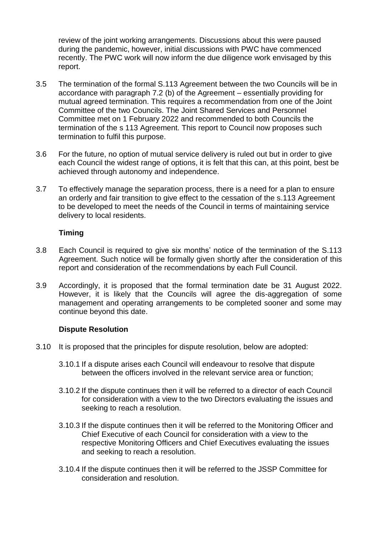review of the joint working arrangements. Discussions about this were paused during the pandemic, however, initial discussions with PWC have commenced recently. The PWC work will now inform the due diligence work envisaged by this report.

- 3.5 The termination of the formal S.113 Agreement between the two Councils will be in accordance with paragraph 7.2 (b) of the Agreement – essentially providing for mutual agreed termination. This requires a recommendation from one of the Joint Committee of the two Councils. The Joint Shared Services and Personnel Committee met on 1 February 2022 and recommended to both Councils the termination of the s 113 Agreement. This report to Council now proposes such termination to fulfil this purpose.
- 3.6 For the future, no option of mutual service delivery is ruled out but in order to give each Council the widest range of options, it is felt that this can, at this point, best be achieved through autonomy and independence.
- 3.7 To effectively manage the separation process, there is a need for a plan to ensure an orderly and fair transition to give effect to the cessation of the s.113 Agreement to be developed to meet the needs of the Council in terms of maintaining service delivery to local residents.

### **Timing**

- 3.8 Each Council is required to give six months' notice of the termination of the S.113 Agreement. Such notice will be formally given shortly after the consideration of this report and consideration of the recommendations by each Full Council.
- 3.9 Accordingly, it is proposed that the formal termination date be 31 August 2022. However, it is likely that the Councils will agree the dis-aggregation of some management and operating arrangements to be completed sooner and some may continue beyond this date.

### **Dispute Resolution**

- 3.10 It is proposed that the principles for dispute resolution, below are adopted:
	- 3.10.1 If a dispute arises each Council will endeavour to resolve that dispute between the officers involved in the relevant service area or function;
	- 3.10.2 If the dispute continues then it will be referred to a director of each Council for consideration with a view to the two Directors evaluating the issues and seeking to reach a resolution.
	- 3.10.3 If the dispute continues then it will be referred to the Monitoring Officer and Chief Executive of each Council for consideration with a view to the respective Monitoring Officers and Chief Executives evaluating the issues and seeking to reach a resolution.
	- 3.10.4 If the dispute continues then it will be referred to the JSSP Committee for consideration and resolution.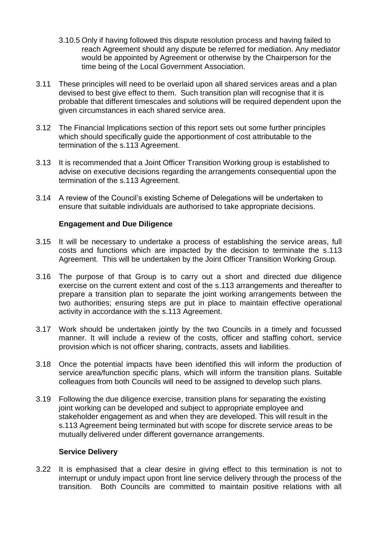- 3.10.5 Only if having followed this dispute resolution process and having failed to reach Agreement should any dispute be referred for mediation. Any mediator would be appointed by Agreement or otherwise by the Chairperson for the time being of the Local Government Association.
- 3.11 These principles will need to be overlaid upon all shared services areas and a plan devised to best give effect to them. Such transition plan will recognise that it is probable that different timescales and solutions will be required dependent upon the given circumstances in each shared service area.
- 3.12 The Financial Implications section of this report sets out some further principles which should specifically guide the apportionment of cost attributable to the termination of the s.113 Agreement.
- 3.13 It is recommended that a Joint Officer Transition Working group is established to advise on executive decisions regarding the arrangements consequential upon the termination of the s.113 Agreement.
- 3.14 A review of the Council's existing Scheme of Delegations will be undertaken to ensure that suitable individuals are authorised to take appropriate decisions.

### **Engagement and Due Diligence**

- 3.15 It will be necessary to undertake a process of establishing the service areas, full costs and functions which are impacted by the decision to terminate the s.113 Agreement. This will be undertaken by the Joint Officer Transition Working Group.
- 3.16 The purpose of that Group is to carry out a short and directed due diligence exercise on the current extent and cost of the s.113 arrangements and thereafter to prepare a transition plan to separate the joint working arrangements between the two authorities; ensuring steps are put in place to maintain effective operational activity in accordance with the s.113 Agreement.
- 3.17 Work should be undertaken jointly by the two Councils in a timely and focussed manner. It will include a review of the costs, officer and staffing cohort, service provision which is not officer sharing, contracts, assets and liabilities.
- 3.18 Once the potential impacts have been identified this will inform the production of service area/function specific plans, which will inform the transition plans. Suitable colleagues from both Councils will need to be assigned to develop such plans.
- 3.19 Following the due diligence exercise, transition plans for separating the existing joint working can be developed and subject to appropriate employee and stakeholder engagement as and when they are developed. This will result in the s.113 Agreement being terminated but with scope for discrete service areas to be mutually delivered under different governance arrangements.

### **Service Delivery**

3.22 It is emphasised that a clear desire in giving effect to this termination is not to interrupt or unduly impact upon front line service delivery through the process of the transition. Both Councils are committed to maintain positive relations with all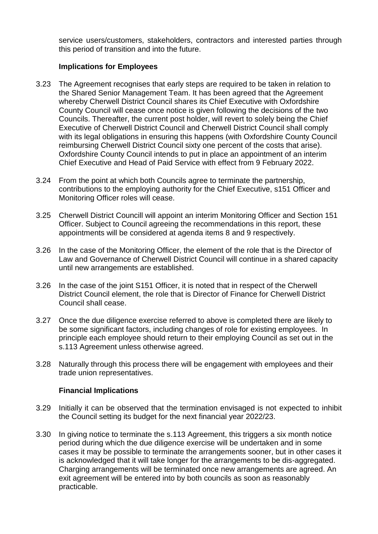service users/customers, stakeholders, contractors and interested parties through this period of transition and into the future.

### **Implications for Employees**

- 3.23 The Agreement recognises that early steps are required to be taken in relation to the Shared Senior Management Team. It has been agreed that the Agreement whereby Cherwell District Council shares its Chief Executive with Oxfordshire County Council will cease once notice is given following the decisions of the two Councils. Thereafter, the current post holder, will revert to solely being the Chief Executive of Cherwell District Council and Cherwell District Council shall comply with its legal obligations in ensuring this happens (with Oxfordshire County Council reimbursing Cherwell District Council sixty one percent of the costs that arise). Oxfordshire County Council intends to put in place an appointment of an interim Chief Executive and Head of Paid Service with effect from 9 February 2022.
- 3.24 From the point at which both Councils agree to terminate the partnership, contributions to the employing authority for the Chief Executive, s151 Officer and Monitoring Officer roles will cease.
- 3.25 Cherwell District Councill will appoint an interim Monitoring Officer and Section 151 Officer. Subject to Council agreeing the recommendations in this report, these appointments will be considered at agenda items 8 and 9 respectively.
- 3.26 In the case of the Monitoring Officer, the element of the role that is the Director of Law and Governance of Cherwell District Council will continue in a shared capacity until new arrangements are established.
- 3.26 In the case of the joint S151 Officer, it is noted that in respect of the Cherwell District Council element, the role that is Director of Finance for Cherwell District Council shall cease.
- 3.27 Once the due diligence exercise referred to above is completed there are likely to be some significant factors, including changes of role for existing employees. In principle each employee should return to their employing Council as set out in the s.113 Agreement unless otherwise agreed.
- 3.28 Naturally through this process there will be engagement with employees and their trade union representatives.

### **Financial Implications**

- 3.29 Initially it can be observed that the termination envisaged is not expected to inhibit the Council setting its budget for the next financial year 2022/23.
- 3.30 In giving notice to terminate the s.113 Agreement, this triggers a six month notice period during which the due diligence exercise will be undertaken and in some cases it may be possible to terminate the arrangements sooner, but in other cases it is acknowledged that it will take longer for the arrangements to be dis-aggregated. Charging arrangements will be terminated once new arrangements are agreed. An exit agreement will be entered into by both councils as soon as reasonably practicable.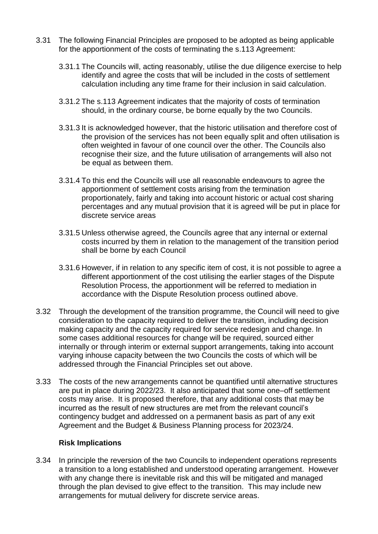- 3.31 The following Financial Principles are proposed to be adopted as being applicable for the apportionment of the costs of terminating the s.113 Agreement:
	- 3.31.1 The Councils will, acting reasonably, utilise the due diligence exercise to help identify and agree the costs that will be included in the costs of settlement calculation including any time frame for their inclusion in said calculation.
	- 3.31.2 The s.113 Agreement indicates that the majority of costs of termination should, in the ordinary course, be borne equally by the two Councils.
	- 3.31.3 It is acknowledged however, that the historic utilisation and therefore cost of the provision of the services has not been equally split and often utilisation is often weighted in favour of one council over the other. The Councils also recognise their size, and the future utilisation of arrangements will also not be equal as between them.
	- 3.31.4 To this end the Councils will use all reasonable endeavours to agree the apportionment of settlement costs arising from the termination proportionately, fairly and taking into account historic or actual cost sharing percentages and any mutual provision that it is agreed will be put in place for discrete service areas
	- 3.31.5 Unless otherwise agreed, the Councils agree that any internal or external costs incurred by them in relation to the management of the transition period shall be borne by each Council
	- 3.31.6 However, if in relation to any specific item of cost, it is not possible to agree a different apportionment of the cost utilising the earlier stages of the Dispute Resolution Process, the apportionment will be referred to mediation in accordance with the Dispute Resolution process outlined above.
- 3.32 Through the development of the transition programme, the Council will need to give consideration to the capacity required to deliver the transition, including decision making capacity and the capacity required for service redesign and change. In some cases additional resources for change will be required, sourced either internally or through interim or external support arrangements, taking into account varying inhouse capacity between the two Councils the costs of which will be addressed through the Financial Principles set out above.
- 3.33 The costs of the new arrangements cannot be quantified until alternative structures are put in place during 2022/23. It also anticipated that some one–off settlement costs may arise. It is proposed therefore, that any additional costs that may be incurred as the result of new structures are met from the relevant council's contingency budget and addressed on a permanent basis as part of any exit Agreement and the Budget & Business Planning process for 2023/24.

### **Risk Implications**

3.34 In principle the reversion of the two Councils to independent operations represents a transition to a long established and understood operating arrangement. However with any change there is inevitable risk and this will be mitigated and managed through the plan devised to give effect to the transition. This may include new arrangements for mutual delivery for discrete service areas.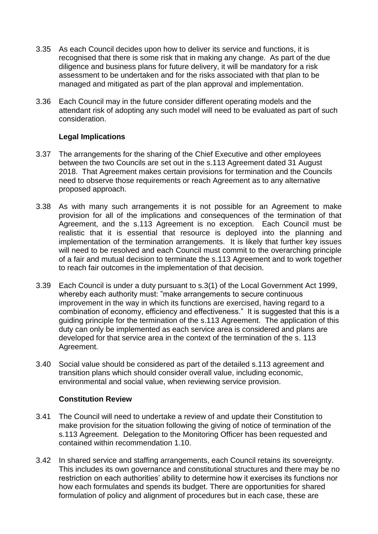- 3.35 As each Council decides upon how to deliver its service and functions, it is recognised that there is some risk that in making any change. As part of the due diligence and business plans for future delivery, it will be mandatory for a risk assessment to be undertaken and for the risks associated with that plan to be managed and mitigated as part of the plan approval and implementation.
- 3.36 Each Council may in the future consider different operating models and the attendant risk of adopting any such model will need to be evaluated as part of such consideration.

### **Legal Implications**

- 3.37 The arrangements for the sharing of the Chief Executive and other employees between the two Councils are set out in the s.113 Agreement dated 31 August 2018. That Agreement makes certain provisions for termination and the Councils need to observe those requirements or reach Agreement as to any alternative proposed approach.
- 3.38 As with many such arrangements it is not possible for an Agreement to make provision for all of the implications and consequences of the termination of that Agreement, and the s.113 Agreement is no exception. Each Council must be realistic that it is essential that resource is deployed into the planning and implementation of the termination arrangements. It is likely that further key issues will need to be resolved and each Council must commit to the overarching principle of a fair and mutual decision to terminate the s.113 Agreement and to work together to reach fair outcomes in the implementation of that decision.
- 3.39 Each Council is under a duty pursuant to s.3(1) of the Local Government Act 1999, whereby each authority must: "make arrangements to secure continuous improvement in the way in which its functions are exercised, having regard to a combination of economy, efficiency and effectiveness." It is suggested that this is a guiding principle for the termination of the s.113 Agreement. The application of this duty can only be implemented as each service area is considered and plans are developed for that service area in the context of the termination of the s. 113 Agreement.
- 3.40 Social value should be considered as part of the detailed s.113 agreement and transition plans which should consider overall value, including economic, environmental and social value, when reviewing service provision.

### **Constitution Review**

- 3.41 The Council will need to undertake a review of and update their Constitution to make provision for the situation following the giving of notice of termination of the s.113 Agreement. Delegation to the Monitoring Officer has been requested and contained within recommendation 1.10.
- 3.42 In shared service and staffing arrangements, each Council retains its sovereignty. This includes its own governance and constitutional structures and there may be no restriction on each authorities' ability to determine how it exercises its functions nor how each formulates and spends its budget. There are opportunities for shared formulation of policy and alignment of procedures but in each case, these are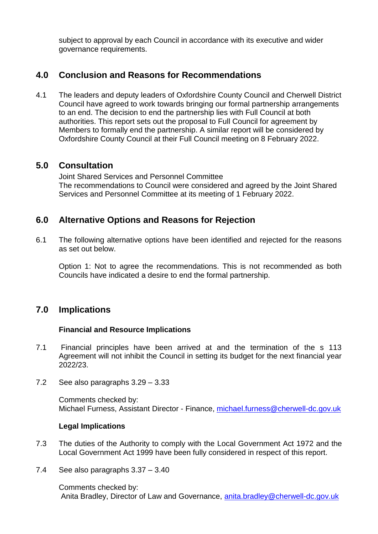subject to approval by each Council in accordance with its executive and wider governance requirements.

# **4.0 Conclusion and Reasons for Recommendations**

4.1 The leaders and deputy leaders of Oxfordshire County Council and Cherwell District Council have agreed to work towards bringing our formal partnership arrangements to an end. The decision to end the partnership lies with Full Council at both authorities. This report sets out the proposal to Full Council for agreement by Members to formally end the partnership. A similar report will be considered by Oxfordshire County Council at their Full Council meeting on 8 February 2022.

### **5.0 Consultation**

Joint Shared Services and Personnel Committee The recommendations to Council were considered and agreed by the Joint Shared Services and Personnel Committee at its meeting of 1 February 2022.

### **6.0 Alternative Options and Reasons for Rejection**

6.1 The following alternative options have been identified and rejected for the reasons as set out below.

Option 1: Not to agree the recommendations. This is not recommended as both Councils have indicated a desire to end the formal partnership.

### **7.0 Implications**

### **Financial and Resource Implications**

- 7.1 Financial principles have been arrived at and the termination of the s 113 Agreement will not inhibit the Council in setting its budget for the next financial year 2022/23.
- 7.2 See also paragraphs 3.29 3.33

Comments checked by: Michael Furness, Assistant Director - Finance, [michael.furness@cherwell-dc.gov.uk](mailto:michael.furness@cherwell-dc.gov.uk)

### **Legal Implications**

- 7.3 The duties of the Authority to comply with the Local Government Act 1972 and the Local Government Act 1999 have been fully considered in respect of this report.
- 7.4 See also paragraphs 3.37 3.40

Comments checked by: Anita Bradley, Director of Law and Governance, [anita.bradley@cherwell-dc.gov.uk](mailto:anita.bradley@cherwell-dc.gov.uk)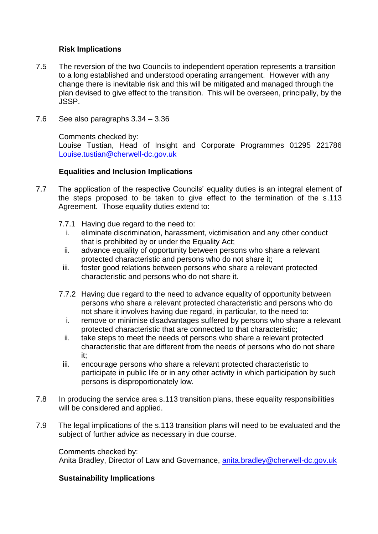### **Risk Implications**

- 7.5 The reversion of the two Councils to independent operation represents a transition to a long established and understood operating arrangement. However with any change there is inevitable risk and this will be mitigated and managed through the plan devised to give effect to the transition. This will be overseen, principally, by the JSSP.
- 7.6 See also paragraphs 3.34 3.36

Comments checked by:

Louise Tustian, Head of Insight and Corporate Programmes 01295 221786 [Louise.tustian@cherwell-dc.gov.uk](mailto:Louise.tustian@cherwell-dc.gov.uk)

### **Equalities and Inclusion Implications**

- 7.7 The application of the respective Councils' equality duties is an integral element of the steps proposed to be taken to give effect to the termination of the s.113 Agreement. Those equality duties extend to:
	- 7.7.1 Having due regard to the need to:
		- i. eliminate discrimination, harassment, victimisation and any other conduct that is prohibited by or under the Equality Act;
		- ii. advance equality of opportunity between persons who share a relevant protected characteristic and persons who do not share it;
		- iii. foster good relations between persons who share a relevant protected characteristic and persons who do not share it.
	- 7.7.2 Having due regard to the need to advance equality of opportunity between persons who share a relevant protected characteristic and persons who do not share it involves having due regard, in particular, to the need to:
		- i. remove or minimise disadvantages suffered by persons who share a relevant protected characteristic that are connected to that characteristic;
		- ii. take steps to meet the needs of persons who share a relevant protected characteristic that are different from the needs of persons who do not share it;
		- iii. encourage persons who share a relevant protected characteristic to participate in public life or in any other activity in which participation by such persons is disproportionately low.
- 7.8 In producing the service area s.113 transition plans, these equality responsibilities will be considered and applied.
- 7.9 The legal implications of the s.113 transition plans will need to be evaluated and the subject of further advice as necessary in due course.

Comments checked by:

Anita Bradley, Director of Law and Governance, [anita.bradley@cherwell-dc.gov.uk](mailto:anita.bradley@cherwell-dc.gov.uk)

### **Sustainability Implications**